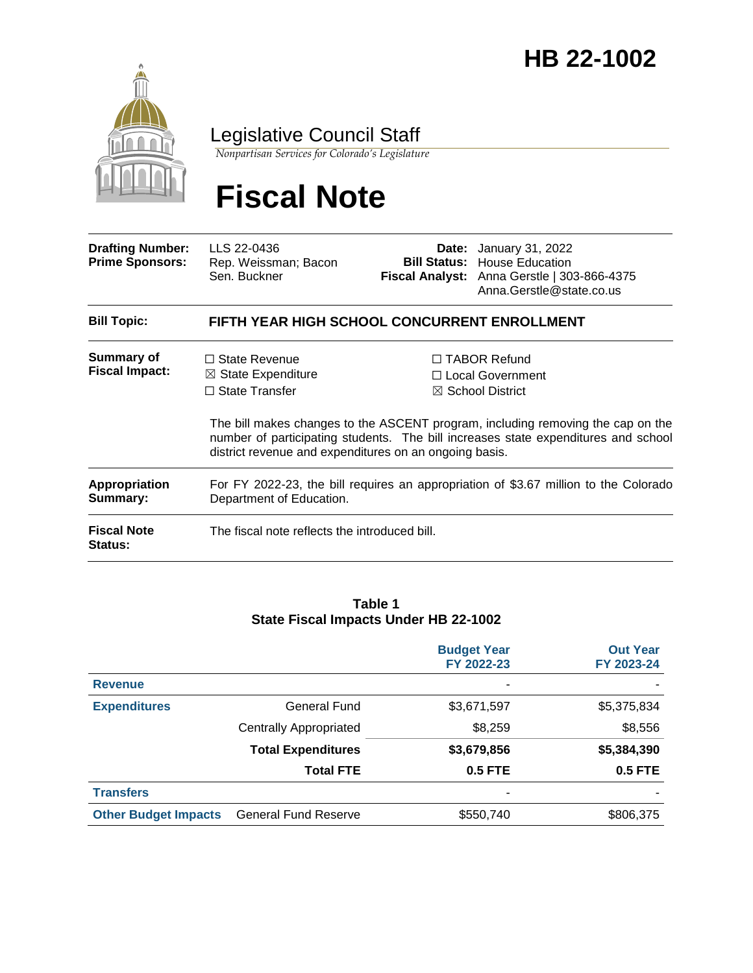## January 31, 2022 **HB 22-1002**



### Legislative Council Staff

*Nonpartisan Services for Colorado's Legislature*

# **Fiscal Note**

| <b>Drafting Number:</b><br><b>Prime Sponsors:</b> | LLS 22-0436<br>Rep. Weissman; Bacon<br>Sen. Buckner                                                                                      |  | <b>Date:</b> January 31, 2022<br><b>Bill Status: House Education</b><br>Fiscal Analyst: Anna Gerstle   303-866-4375<br>Anna.Gerstle@state.co.us                                                                                                   |  |  |  |
|---------------------------------------------------|------------------------------------------------------------------------------------------------------------------------------------------|--|---------------------------------------------------------------------------------------------------------------------------------------------------------------------------------------------------------------------------------------------------|--|--|--|
| <b>Bill Topic:</b>                                | FIFTH YEAR HIGH SCHOOL CONCURRENT ENROLLMENT                                                                                             |  |                                                                                                                                                                                                                                                   |  |  |  |
| <b>Summary of</b><br><b>Fiscal Impact:</b>        | $\Box$ State Revenue<br>$\boxtimes$ State Expenditure<br>$\Box$ State Transfer<br>district revenue and expenditures on an ongoing basis. |  | $\Box$ TABOR Refund<br>□ Local Government<br>$\boxtimes$ School District<br>The bill makes changes to the ASCENT program, including removing the cap on the<br>number of participating students. The bill increases state expenditures and school |  |  |  |
| Appropriation<br>Summary:                         | For FY 2022-23, the bill requires an appropriation of \$3.67 million to the Colorado<br>Department of Education.                         |  |                                                                                                                                                                                                                                                   |  |  |  |
| <b>Fiscal Note</b><br><b>Status:</b>              | The fiscal note reflects the introduced bill.                                                                                            |  |                                                                                                                                                                                                                                                   |  |  |  |

#### **Table 1 State Fiscal Impacts Under HB 22-1002**

|                             |                               | <b>Budget Year</b><br>FY 2022-23 | <b>Out Year</b><br>FY 2023-24 |
|-----------------------------|-------------------------------|----------------------------------|-------------------------------|
| <b>Revenue</b>              |                               | ٠                                |                               |
| <b>Expenditures</b>         | General Fund                  | \$3,671,597                      | \$5,375,834                   |
|                             | <b>Centrally Appropriated</b> | \$8,259                          | \$8,556                       |
|                             | <b>Total Expenditures</b>     | \$3,679,856                      | \$5,384,390                   |
|                             | <b>Total FTE</b>              | <b>0.5 FTE</b>                   | <b>0.5 FTE</b>                |
| <b>Transfers</b>            |                               | ۰                                |                               |
| <b>Other Budget Impacts</b> | <b>General Fund Reserve</b>   | \$550,740                        | \$806,375                     |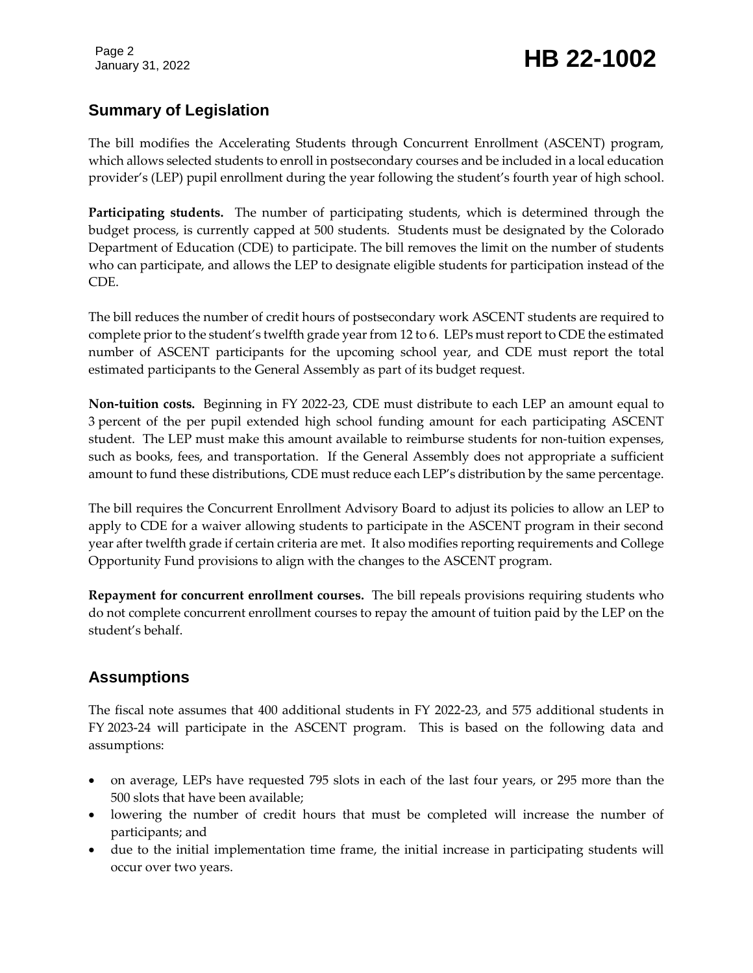## January 31, 2022 **HB 22-1002**

#### **Summary of Legislation**

The bill modifies the Accelerating Students through Concurrent Enrollment (ASCENT) program, which allows selected students to enroll in postsecondary courses and be included in a local education provider's (LEP) pupil enrollment during the year following the student's fourth year of high school.

**Participating students.** The number of participating students, which is determined through the budget process, is currently capped at 500 students. Students must be designated by the Colorado Department of Education (CDE) to participate. The bill removes the limit on the number of students who can participate, and allows the LEP to designate eligible students for participation instead of the CDE.

The bill reduces the number of credit hours of postsecondary work ASCENT students are required to complete prior to the student's twelfth grade year from 12 to 6. LEPs must report to CDE the estimated number of ASCENT participants for the upcoming school year, and CDE must report the total estimated participants to the General Assembly as part of its budget request.

**Non-tuition costs.** Beginning in FY 2022-23, CDE must distribute to each LEP an amount equal to 3 percent of the per pupil extended high school funding amount for each participating ASCENT student. The LEP must make this amount available to reimburse students for non-tuition expenses, such as books, fees, and transportation. If the General Assembly does not appropriate a sufficient amount to fund these distributions, CDE must reduce each LEP's distribution by the same percentage.

The bill requires the Concurrent Enrollment Advisory Board to adjust its policies to allow an LEP to apply to CDE for a waiver allowing students to participate in the ASCENT program in their second year after twelfth grade if certain criteria are met. It also modifies reporting requirements and College Opportunity Fund provisions to align with the changes to the ASCENT program.

**Repayment for concurrent enrollment courses.** The bill repeals provisions requiring students who do not complete concurrent enrollment courses to repay the amount of tuition paid by the LEP on the student's behalf.

#### **Assumptions**

The fiscal note assumes that 400 additional students in FY 2022-23, and 575 additional students in FY 2023-24 will participate in the ASCENT program. This is based on the following data and assumptions:

- on average, LEPs have requested 795 slots in each of the last four years, or 295 more than the 500 slots that have been available;
- lowering the number of credit hours that must be completed will increase the number of participants; and
- due to the initial implementation time frame, the initial increase in participating students will occur over two years.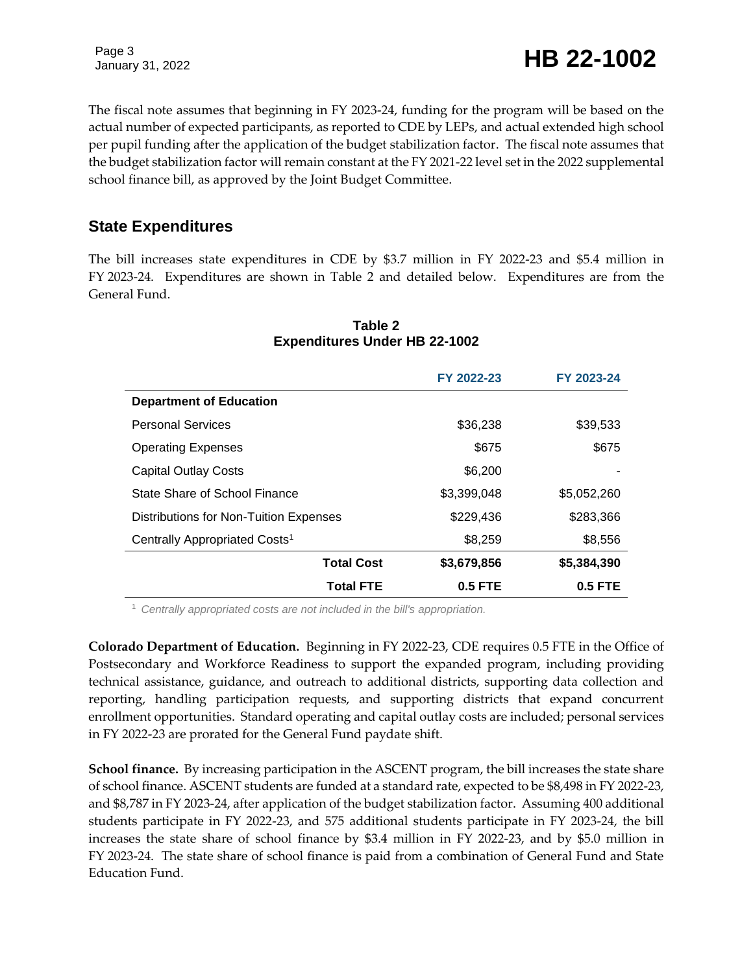January 31, 2022 **HB 22-1002** 

The fiscal note assumes that beginning in FY 2023-24, funding for the program will be based on the actual number of expected participants, as reported to CDE by LEPs, and actual extended high school per pupil funding after the application of the budget stabilization factor. The fiscal note assumes that the budget stabilization factor will remain constant at the FY 2021-22 level set in the 2022 supplemental school finance bill, as approved by the Joint Budget Committee.

#### **State Expenditures**

The bill increases state expenditures in CDE by \$3.7 million in FY 2022-23 and \$5.4 million in FY 2023-24. Expenditures are shown in Table 2 and detailed below. Expenditures are from the General Fund.

|                                           |                   | FY 2022-23  | FY 2023-24  |
|-------------------------------------------|-------------------|-------------|-------------|
| <b>Department of Education</b>            |                   |             |             |
| <b>Personal Services</b>                  |                   | \$36,238    | \$39,533    |
| <b>Operating Expenses</b>                 |                   | \$675       | \$675       |
| <b>Capital Outlay Costs</b>               |                   | \$6,200     |             |
| State Share of School Finance             |                   | \$3,399,048 | \$5,052,260 |
| Distributions for Non-Tuition Expenses    |                   | \$229,436   | \$283,366   |
| Centrally Appropriated Costs <sup>1</sup> |                   | \$8,259     | \$8,556     |
|                                           | <b>Total Cost</b> | \$3,679,856 | \$5,384,390 |
|                                           | <b>Total FTE</b>  | $0.5$ FTE   | $0.5$ FTE   |

#### **Table 2 Expenditures Under HB 22-1002**

<sup>1</sup> *Centrally appropriated costs are not included in the bill's appropriation.*

**Colorado Department of Education.** Beginning in FY 2022-23, CDE requires 0.5 FTE in the Office of Postsecondary and Workforce Readiness to support the expanded program, including providing technical assistance, guidance, and outreach to additional districts, supporting data collection and reporting, handling participation requests, and supporting districts that expand concurrent enrollment opportunities. Standard operating and capital outlay costs are included; personal services in FY 2022-23 are prorated for the General Fund paydate shift.

**School finance.** By increasing participation in the ASCENT program, the bill increases the state share of school finance. ASCENT students are funded at a standard rate, expected to be \$8,498 in FY 2022-23, and \$8,787 in FY 2023-24, after application of the budget stabilization factor. Assuming 400 additional students participate in FY 2022-23, and 575 additional students participate in FY 2023-24, the bill increases the state share of school finance by \$3.4 million in FY 2022-23, and by \$5.0 million in FY 2023-24. The state share of school finance is paid from a combination of General Fund and State Education Fund.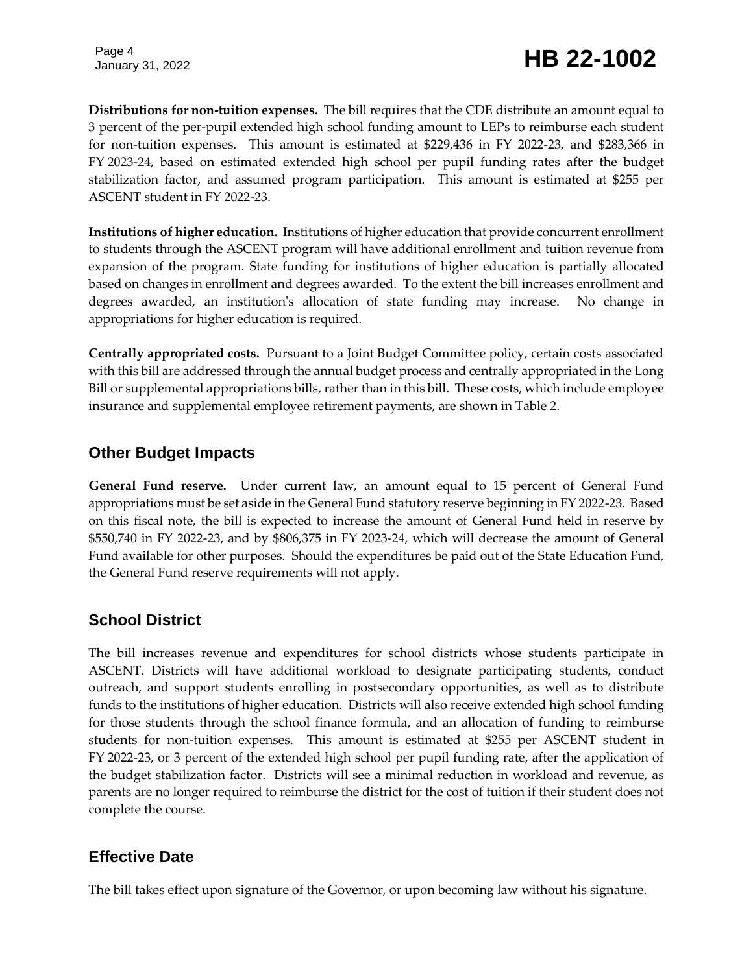**Distributions for non-tuition expenses.** The bill requires that the CDE distribute an amount equal to 3 percent of the per-pupil extended high school funding amount to LEPs to reimburse each student for non-tuition expenses. This amount is estimated at \$229,436 in FY 2022-23, and \$283,366 in FY 2023-24, based on estimated extended high school per pupil funding rates after the budget stabilization factor, and assumed program participation. This amount is estimated at \$255 per ASCENT student in FY 2022-23.

**Institutions of higher education.** Institutions of higher education that provide concurrent enrollment to students through the ASCENT program will have additional enrollment and tuition revenue from expansion of the program. State funding for institutions of higher education is partially allocated based on changes in enrollment and degrees awarded. To the extent the bill increases enrollment and degrees awarded, an institution's allocation of state funding may increase. No change in appropriations for higher education is required.

**Centrally appropriated costs.** Pursuant to a Joint Budget Committee policy, certain costs associated with this bill are addressed through the annual budget process and centrally appropriated in the Long Bill or supplemental appropriations bills, rather than in this bill. These costs, which include employee insurance and supplemental employee retirement payments, are shown in Table 2.

#### **Other Budget Impacts**

**General Fund reserve.** Under current law, an amount equal to 15 percent of General Fund appropriations must be set aside in the General Fund statutory reserve beginning in FY 2022-23. Based on this fiscal note, the bill is expected to increase the amount of General Fund held in reserve by \$550,740 in FY 2022-23, and by \$806,375 in FY 2023-24, which will decrease the amount of General Fund available for other purposes. Should the expenditures be paid out of the State Education Fund, the General Fund reserve requirements will not apply.

#### **School District**

The bill increases revenue and expenditures for school districts whose students participate in ASCENT. Districts will have additional workload to designate participating students, conduct outreach, and support students enrolling in postsecondary opportunities, as well as to distribute funds to the institutions of higher education. Districts will also receive extended high school funding for those students through the school finance formula, and an allocation of funding to reimburse students for non-tuition expenses. This amount is estimated at \$255 per ASCENT student in FY 2022-23, or 3 percent of the extended high school per pupil funding rate, after the application of the budget stabilization factor. Districts will see a minimal reduction in workload and revenue, as parents are no longer required to reimburse the district for the cost of tuition if their student does not complete the course.

#### **Effective Date**

The bill takes effect upon signature of the Governor, or upon becoming law without his signature.